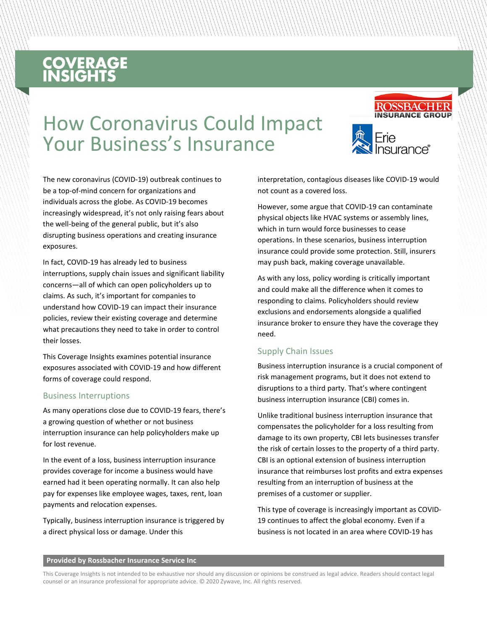# **COVERAGE**<br>INSIGHTS

## How Coronavirus Could Impact Your Business's Insurance



**ROSSBACHER** 

The new coronavirus (COVID-19) outbreak continues to be a top-of-mind concern for organizations and individuals across the globe. As COVID-19 becomes increasingly widespread, it's not only raising fears about the well-being of the general public, but it's also disrupting business operations and creating insurance exposures.

In fact, COVID-19 has already led to business interruptions, supply chain issues and significant liability concerns—all of which can open policyholders up to claims. As such, it's important for companies to understand how COVID-19 can impact their insurance policies, review their existing coverage and determine what precautions they need to take in order to control their losses.

This Coverage Insights examines potential insurance exposures associated with COVID-19 and how different forms of coverage could respond.

#### Business Interruptions

As many operations close due to COVID-19 fears, there's a growing question of whether or not business interruption insurance can help policyholders make up for lost revenue.

In the event of a loss, business interruption insurance provides coverage for income a business would have earned had it been operating normally. It can also help pay for expenses like employee wages, taxes, rent, loan payments and relocation expenses.

Typically, business interruption insurance is triggered by a direct physical loss or damage. Under this

interpretation, contagious diseases like COVID-19 would not count as a covered loss.

However, some argue that COVID-19 can contaminate physical objects like HVAC systems or assembly lines, which in turn would force businesses to cease operations. In these scenarios, business interruption insurance could provide some protection. Still, insurers may push back, making coverage unavailable.

As with any loss, policy wording is critically important and could make all the difference when it comes to responding to claims. Policyholders should review exclusions and endorsements alongside a qualified insurance broker to ensure they have the coverage they need.

### Supply Chain Issues

Business interruption insurance is a crucial component of risk management programs, but it does not extend to disruptions to a third party. That's where contingent business interruption insurance (CBI) comes in.

Unlike traditional business interruption insurance that compensates the policyholder for a loss resulting from damage to its own property, CBI lets businesses transfer the risk of certain losses to the property of a third party. CBI is an optional extension of business interruption insurance that reimburses lost profits and extra expenses resulting from an interruption of business at the premises of a customer or supplier.

This type of coverage is increasingly important as COVID-19 continues to affect the global economy. Even if a business is not located in an area where COVID-19 has

#### **Provided by Rossbacher Insurance Service Inc**

This Coverage Insights is not intended to be exhaustive nor should any discussion or opinions be construed as legal advice. Readers should contact legal counsel or an insurance professional for appropriate advice. © 2020 Zywave, Inc. All rights reserved.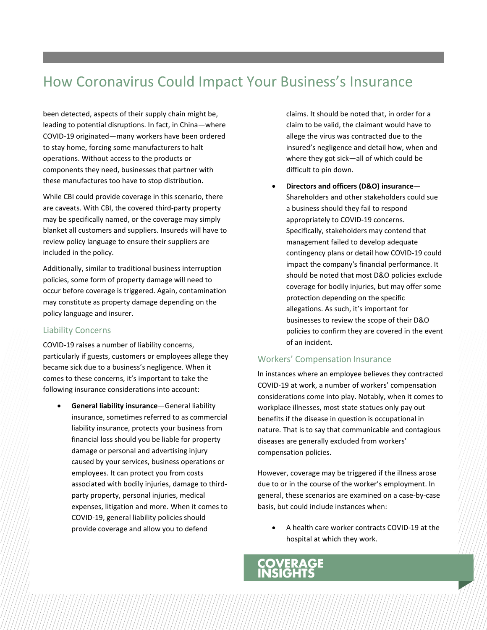### How Coronavirus Could Impact Your Business's Insurance

been detected, aspects of their supply chain might be, leading to potential disruptions. In fact, in China—where COVID-19 originated—many workers have been ordered to stay home, forcing some manufacturers to halt operations. Without access to the products or components they need, businesses that partner with these manufactures too have to stop distribution.

While CBI could provide coverage in this scenario, there are caveats. With CBI, the covered third-party property may be specifically named, or the coverage may simply blanket all customers and suppliers. Insureds will have to review policy language to ensure their suppliers are included in the policy.

Additionally, similar to traditional business interruption policies, some form of property damage will need to occur before coverage is triggered. Again, contamination may constitute as property damage depending on the policy language and insurer.

### Liability Concerns

COVID-19 raises a number of liability concerns, particularly if guests, customers or employees allege they became sick due to a business's negligence. When it comes to these concerns, it's important to take the following insurance considerations into account:

• **General liability insurance**—General liability insurance, sometimes referred to as commercial liability insurance, protects your business from financial loss should you be liable for property damage or personal and advertising injury caused by your services, business operations or employees. It can protect you from costs associated with bodily injuries, damage to thirdparty property, personal injuries, medical expenses, litigation and more. When it comes to COVID-19, general liability policies should provide coverage and allow you to defend

claims. It should be noted that, in order for a claim to be valid, the claimant would have to allege the virus was contracted due to the insured's negligence and detail how, when and where they got sick—all of which could be difficult to pin down.

• **Directors and officers (D&O) insurance**— Shareholders and other stakeholders could sue a business should they fail to respond appropriately to COVID-19 concerns. Specifically, stakeholders may contend that management failed to develop adequate contingency plans or detail how COVID-19 could impact the company's financial performance. It should be noted that most D&O policies exclude coverage for bodily injuries, but may offer some protection depending on the specific allegations. As such, it's important for businesses to review the scope of their D&O policies to confirm they are covered in the event of an incident.

### Workers' Compensation Insurance

In instances where an employee believes they contracted COVID-19 at work, a number of workers' compensation considerations come into play. Notably, when it comes to workplace illnesses, most state statues only pay out benefits if the disease in question is occupational in nature. That is to say that communicable and contagious diseases are generally excluded from workers' compensation policies.

However, coverage may be triggered if the illness arose due to or in the course of the worker's employment. In general, these scenarios are examined on a case-by-case basis, but could include instances when:

ERAGE

• A health care worker contracts COVID-19 at the hospital at which they work.